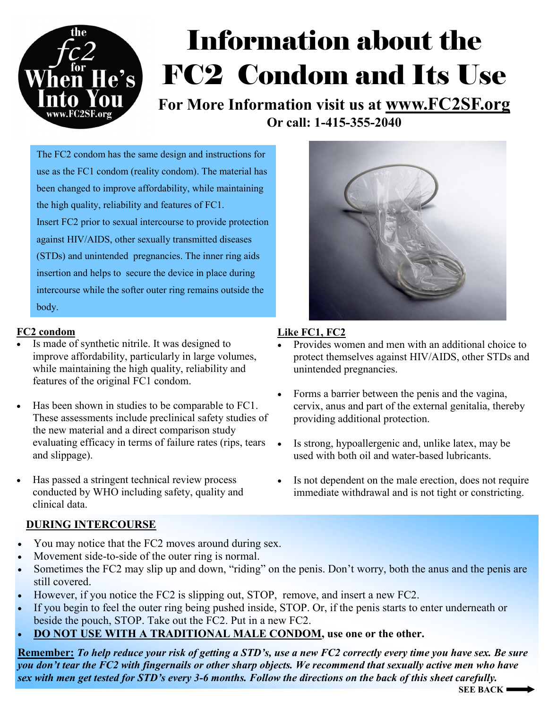

# Information about the FC2 Condom and Its Use

**For More Information visit us at www.FC2SF.org Or call: 1-415-355-2040**

The FC2 condom has the same design and instructions for use as the FC1 condom (reality condom). The material has been changed to improve affordability, while maintaining the high quality, reliability and features of FC1. Insert FC2 prior to sexual intercourse to provide protection against HIV/AIDS, other sexually transmitted diseases (STDs) and unintended pregnancies. The inner ring aids insertion and helps to secure the device in place during intercourse while the softer outer ring remains outside the body.

### **FC2 condom**

- Is made of synthetic nitrile. It was designed to improve affordability, particularly in large volumes, while maintaining the high quality, reliability and features of the original FC1 condom.
- Has been shown in studies to be comparable to FC1. These assessments include preclinical safety studies of the new material and a direct comparison study evaluating efficacy in terms of failure rates (rips, tears and slippage).
- Has passed a stringent technical review process conducted by WHO including safety, quality and clinical data.

### **DURING INTERCOURSE**

- You may notice that the FC2 moves around during sex.
- Movement side-to-side of the outer ring is normal.
- Sometimes the FC2 may slip up and down, "riding" on the penis. Don't worry, both the anus and the penis are still covered.
- However, if you notice the FC2 is slipping out, STOP, remove, and insert a new FC2.
- If you begin to feel the outer ring being pushed inside, STOP. Or, if the penis starts to enter underneath or beside the pouch, STOP. Take out the FC2. Put in a new FC2.
- **DO NOT USE WITH A TRADITIONAL MALE CONDOM, use one or the other.**

**Remember:** *To help reduce your risk of getting a STD's, use a new FC2 correctly every time you have sex. Be sure you don't tear the FC2 with fingernails or other sharp objects. We recommend that sexually active men who have sex with men get tested for STD's every 3-6 months. Follow the directions on the back of this sheet carefully.* 





### **Like FC1, FC2**

- Provides women and men with an additional choice to protect themselves against HIV/AIDS, other STDs and unintended pregnancies.
- Forms a barrier between the penis and the vagina, cervix, anus and part of the external genitalia, thereby providing additional protection.
- Is strong, hypoallergenic and, unlike latex, may be used with both oil and water-based lubricants.
- Is not dependent on the male erection, does not require immediate withdrawal and is not tight or constricting.